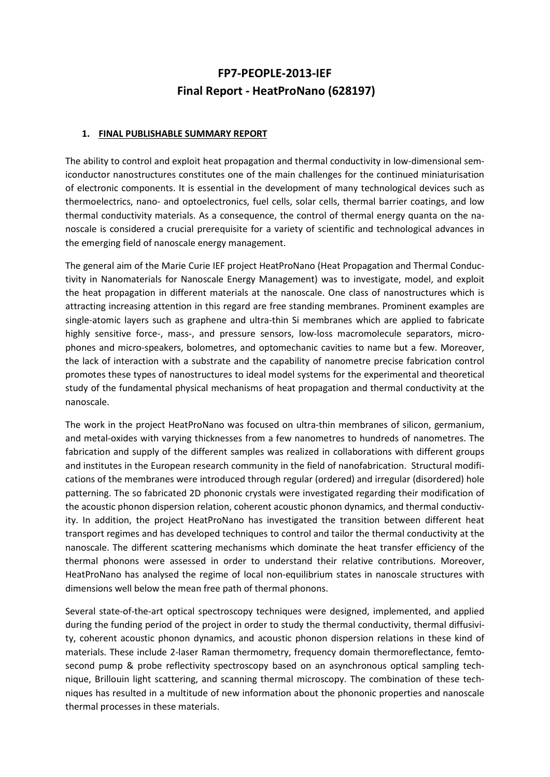## FP7-PEOPLE-2013-IEF Final Report - HeatProNano (628197)

## 1. FINAL PUBLISHABLE SUMMARY REPORT

The ability to control and exploit heat propagation and thermal conductivity in low-dimensional semiconductor nanostructures constitutes one of the main challenges for the continued miniaturisation of electronic components. It is essential in the development of many technological devices such as thermoelectrics, nano- and optoelectronics, fuel cells, solar cells, thermal barrier coatings, and low thermal conductivity materials. As a consequence, the control of thermal energy quanta on the nanoscale is considered a crucial prerequisite for a variety of scientific and technological advances in the emerging field of nanoscale energy management.

The general aim of the Marie Curie IEF project HeatProNano (Heat Propagation and Thermal Conductivity in Nanomaterials for Nanoscale Energy Management) was to investigate, model, and exploit the heat propagation in different materials at the nanoscale. One class of nanostructures which is attracting increasing attention in this regard are free standing membranes. Prominent examples are single-atomic layers such as graphene and ultra-thin Si membranes which are applied to fabricate highly sensitive force-, mass-, and pressure sensors, low-loss macromolecule separators, microphones and micro-speakers, bolometres, and optomechanic cavities to name but a few. Moreover, the lack of interaction with a substrate and the capability of nanometre precise fabrication control promotes these types of nanostructures to ideal model systems for the experimental and theoretical study of the fundamental physical mechanisms of heat propagation and thermal conductivity at the nanoscale.

The work in the project HeatProNano was focused on ultra-thin membranes of silicon, germanium, and metal-oxides with varying thicknesses from a few nanometres to hundreds of nanometres. The fabrication and supply of the different samples was realized in collaborations with different groups and institutes in the European research community in the field of nanofabrication. Structural modifications of the membranes were introduced through regular (ordered) and irregular (disordered) hole patterning. The so fabricated 2D phononic crystals were investigated regarding their modification of the acoustic phonon dispersion relation, coherent acoustic phonon dynamics, and thermal conductivity. In addition, the project HeatProNano has investigated the transition between different heat transport regimes and has developed techniques to control and tailor the thermal conductivity at the nanoscale. The different scattering mechanisms which dominate the heat transfer efficiency of the thermal phonons were assessed in order to understand their relative contributions. Moreover, HeatProNano has analysed the regime of local non-equilibrium states in nanoscale structures with dimensions well below the mean free path of thermal phonons.

Several state-of-the-art optical spectroscopy techniques were designed, implemented, and applied during the funding period of the project in order to study the thermal conductivity, thermal diffusivity, coherent acoustic phonon dynamics, and acoustic phonon dispersion relations in these kind of materials. These include 2-laser Raman thermometry, frequency domain thermoreflectance, femtosecond pump & probe reflectivity spectroscopy based on an asynchronous optical sampling technique, Brillouin light scattering, and scanning thermal microscopy. The combination of these techniques has resulted in a multitude of new information about the phononic properties and nanoscale thermal processes in these materials.